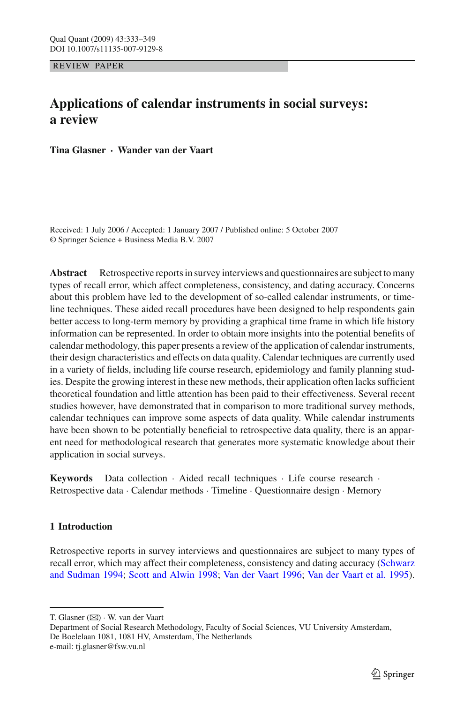<span id="page-0-0"></span>REVIEW PAPER

# **Applications of calendar instruments in social surveys: a review**

**Tina Glasner · Wander van der Vaart**

Received: 1 July 2006 / Accepted: 1 January 2007 / Published online: 5 October 2007 © Springer Science + Business Media B.V. 2007

**Abstract** Retrospective reports in survey interviews and questionnaires are subject to many types of recall error, which affect completeness, consistency, and dating accuracy. Concerns about this problem have led to the development of so-called calendar instruments, or timeline techniques. These aided recall procedures have been designed to help respondents gain better access to long-term memory by providing a graphical time frame in which life history information can be represented. In order to obtain more insights into the potential benefits of calendar methodology, this paper presents a review of the application of calendar instruments, their design characteristics and effects on data quality. Calendar techniques are currently used in a variety of fields, including life course research, epidemiology and family planning studies. Despite the growing interest in these new methods, their application often lacks sufficient theoretical foundation and little attention has been paid to their effectiveness. Several recent studies however, have demonstrated that in comparison to more traditional survey methods, calendar techniques can improve some aspects of data quality. While calendar instruments have been shown to be potentially beneficial to retrospective data quality, there is an apparent need for methodological research that generates more systematic knowledge about their application in social surveys.

**Keywords** Data collection · Aided recall techniques · Life course research · Retrospective data · Calendar methods · Timeline · Questionnaire design · Memory

# **1 Introduction**

Retrospective reports in survey interviews and questionnaires are subject to many types of recall error, which [may](#page-16-0) [affect](#page-16-0) [their](#page-16-0) [completeness,](#page-16-0) [consistency](#page-16-0) [and](#page-16-0) [dating](#page-16-0) [accuracy](#page-16-0) [\(](#page-16-0)Schwarz and Sudman 1994; [Scott and Alwin 1998;](#page-16-1) [Van der Vaart 1996;](#page-16-2) [Van der Vaart et al. 1995\)](#page-16-3).

Department of Social Research Methodology, Faculty of Social Sciences, VU University Amsterdam, De Boelelaan 1081, 1081 HV, Amsterdam, The Netherlands e-mail: tj.glasner@fsw.vu.nl

T. Glasner (B) · W. van der Vaart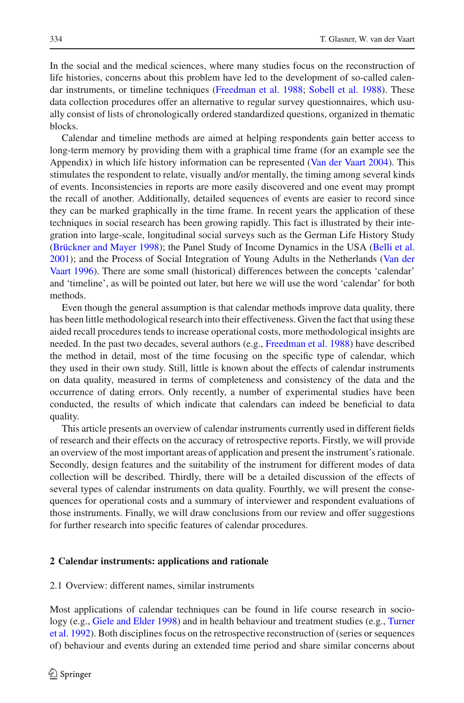In the social and the medical sciences, where many studies focus on the reconstruction of life histories, concerns about this problem have led to the development of so-called calendar instruments, or timeline techniques [\(Freedman et al. 1988;](#page-15-0) [Sobell et al. 1988\)](#page-16-4). These data collection procedures offer an alternative to regular survey questionnaires, which usually consist of lists of chronologically ordered standardized questions, organized in thematic blocks.

Calendar and timeline methods are aimed at helping respondents gain better access to long-term memory by providing them with a graphical time frame (for an example see the Appendix) in which life history information can be represented [\(Van der Vaart 2004\)](#page-16-5). This stimulates the respondent to relate, visually and/or mentally, the timing among several kinds of events. Inconsistencies in reports are more easily discovered and one event may prompt the recall of another. Additionally, detailed sequences of events are easier to record since they can be marked graphically in the time frame. In recent years the application of these techniques in social research has been growing rapidly. This fact is illustrated by their integration into large-scale, longitudinal social surveys such as the German Life History Study [\(Brückner and Mayer 1998\)](#page-15-1)[;](#page-15-2) [the](#page-15-2) [Panel](#page-15-2) [Study](#page-15-2) [of](#page-15-2) [Income](#page-15-2) [Dynamics](#page-15-2) [in](#page-15-2) [the](#page-15-2) [USA](#page-15-2) [\(](#page-15-2)Belli et al. 2001); and [the](#page-16-2) [Process](#page-16-2) [of](#page-16-2) [Social](#page-16-2) [Integration](#page-16-2) [of](#page-16-2) [Young](#page-16-2) [Adults](#page-16-2) [in](#page-16-2) [the](#page-16-2) [Netherlands](#page-16-2) [\(](#page-16-2)Van der Vaart 1996). There are some small (historical) differences between the concepts 'calendar' and 'timeline', as will be pointed out later, but here we will use the word 'calendar' for both methods.

Even though the general assumption is that calendar methods improve data quality, there has been little methodological research into their effectiveness. Given the fact that using these aided recall procedures tends to increase operational costs, more methodological insights are needed. In the past two decades, several authors (e.g., [Freedman et al. 1988\)](#page-15-0) have described the method in detail, most of the time focusing on the specific type of calendar, which they used in their own study. Still, little is known about the effects of calendar instruments on data quality, measured in terms of completeness and consistency of the data and the occurrence of dating errors. Only recently, a number of experimental studies have been conducted, the results of which indicate that calendars can indeed be beneficial to data quality.

This article presents an overview of calendar instruments currently used in different fields of research and their effects on the accuracy of retrospective reports. Firstly, we will provide an overview of the most important areas of application and present the instrument's rationale. Secondly, design features and the suitability of the instrument for different modes of data collection will be described. Thirdly, there will be a detailed discussion of the effects of several types of calendar instruments on data quality. Fourthly, we will present the consequences for operational costs and a summary of interviewer and respondent evaluations of those instruments. Finally, we will draw conclusions from our review and offer suggestions for further research into specific features of calendar procedures.

### **2 Calendar instruments: applications and rationale**

### 2.1 Overview: different names, similar instruments

Most applications of calendar techniques can be found in life course research in sociology (e.g., [Giele and Elder 1998\)](#page-15-3) [and](#page-16-6) [in](#page-16-6) [health](#page-16-6) [behaviour](#page-16-6) [and](#page-16-6) [treatment](#page-16-6) [studies](#page-16-6) [\(e.g.,](#page-16-6) Turner et al. 1992). Both disciplines focus on the retrospective reconstruction of (series or sequences of) behaviour and events during an extended time period and share similar concerns about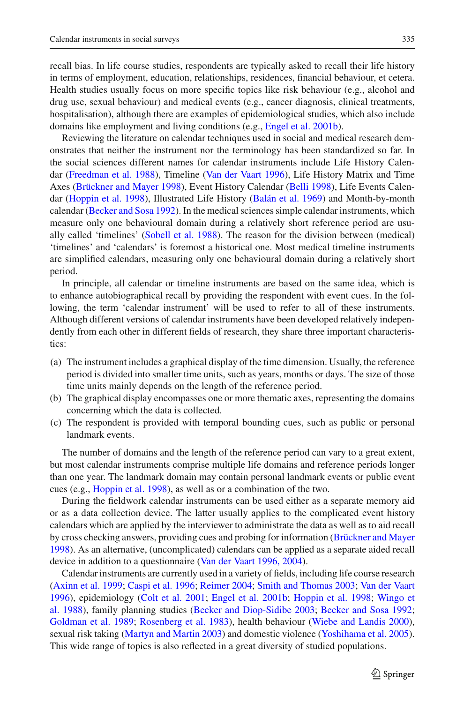recall bias. In life course studies, respondents are typically asked to recall their life history in terms of employment, education, relationships, residences, financial behaviour, et cetera. Health studies usually focus on more specific topics like risk behaviour (e.g., alcohol and drug use, sexual behaviour) and medical events (e.g., cancer diagnosis, clinical treatments, hospitalisation), although there are examples of epidemiological studies, which also include domains like employment and living conditions (e.g., [Engel et al. 2001b\)](#page-15-4).

Reviewing the literature on calendar techniques used in social and medical research demonstrates that neither the instrument nor the terminology has been standardized so far. In the social sciences different names for calendar instruments include Life History Calendar [\(Freedman et al. 1988\)](#page-15-0), Timeline [\(Van der Vaart 1996\)](#page-16-2), Life History Matrix and Time Axes [\(Brückner and Mayer 1998\)](#page-15-1), Event History Calendar [\(Belli 1998\)](#page-15-5), Life Events Calendar [\(Hoppin et al. 1998\)](#page-15-6), Illustrated Life History [\(Balán et al. 1969\)](#page-15-7) and Month-by-month calendar [\(Becker and Sosa 1992\)](#page-15-8). In the medical sciences simple calendar instruments, which measure only one behavioural domain during a relatively short reference period are usually called 'timelines' [\(Sobell et al. 1988\)](#page-16-4). The reason for the division between (medical) 'timelines' and 'calendars' is foremost a historical one. Most medical timeline instruments are simplified calendars, measuring only one behavioural domain during a relatively short period.

In principle, all calendar or timeline instruments are based on the same idea, which is to enhance autobiographical recall by providing the respondent with event cues. In the following, the term 'calendar instrument' will be used to refer to all of these instruments. Although different versions of calendar instruments have been developed relatively independently from each other in different fields of research, they share three important characteristics:

- (a) The instrument includes a graphical display of the time dimension. Usually, the reference period is divided into smaller time units, such as years, months or days. The size of those time units mainly depends on the length of the reference period.
- (b) The graphical display encompasses one or more thematic axes, representing the domains concerning which the data is collected.
- (c) The respondent is provided with temporal bounding cues, such as public or personal landmark events.

The number of domains and the length of the reference period can vary to a great extent, but most calendar instruments comprise multiple life domains and reference periods longer than one year. The landmark domain may contain personal landmark events or public event cues (e.g., [Hoppin et al. 1998\)](#page-15-6), as well as or a combination of the two.

During the fieldwork calendar instruments can be used either as a separate memory aid or as a data collection device. The latter usually applies to the complicated event history calendars which are applied by the interviewer to administrate the data as well as to aid recall by cross checking answers, providing cues and probing for information (Brückner and Mayer 1998). As an alternative, (uncomplicated) calendars can be applied as a separate aided recall device in addition to a questionnaire (Van der Vaart 1996, 2004).

Calendar instruments are currently used in a variety of fields, including life course research [\(Axinn et al. 1999;](#page-14-0) [Caspi et al. 1996;](#page-15-9) [Reimer 2004;](#page-15-10) [Smith and Thomas 2003;](#page-16-7) Van der Vaart 1996), epidemiology [\(Colt et al. 2001;](#page-15-11) [Engel et al. 2001b;](#page-15-4) [Hoppin et al. 1998;](#page-15-6) Wingo et al. 1988[\),](#page-16-8) [family](#page-16-8) [planning](#page-16-8) [studies](#page-16-8) [\(Becker and Diop-Sidibe 2003;](#page-15-12) [Becker and Sosa 1992;](#page-15-8) [Goldman et al. 1989;](#page-15-13) [Rosenberg et al. 1983\)](#page-15-14), health behaviour [\(Wiebe and Landis 2000\)](#page-16-9), sexual risk taking [\(Martyn and Martin 2003\)](#page-15-15) and domestic violence [\(Yoshihama et al. 2005\)](#page-16-10). This wide range of topics is also reflected in a great diversity of studied populations.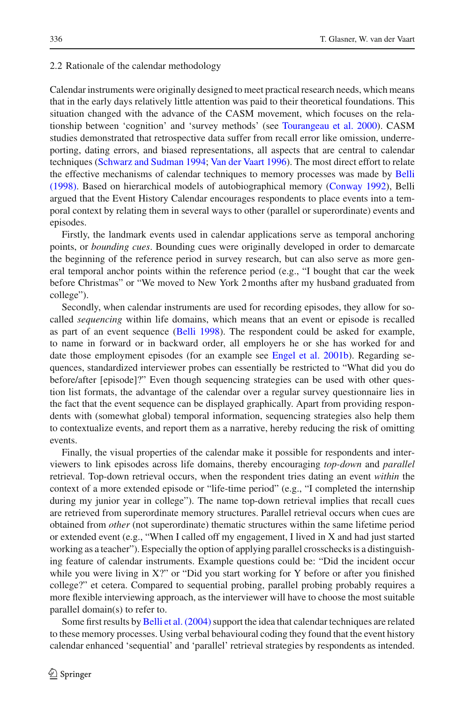### 2.2 Rationale of the calendar methodology

Calendar instruments were originally designed to meet practical research needs, which means that in the early days relatively little attention was paid to their theoretical foundations. This situation changed with the advance of the CASM movement, which focuses on the relationship between 'cognition' and 'survey methods' (see [Tourangeau et al. 2000\)](#page-16-11). CASM studies demonstrated that retrospective data suffer from recall error like omission, underreporting, dating errors, and biased representations, all aspects that are central to calendar techniques [\(Schwarz and Sudman 1994;](#page-16-0) [Van der Vaart 1996\)](#page-16-2). The most direct effort to relate the effective mechanisms of calendar techniques to memory processes was made by Belli (1998). Based on hierarchical models of autobiographical memory [\(Conway 1992\)](#page-15-16), Belli argued that the Event History Calendar encourages respondents to place events into a temporal context by relating them in several ways to other (parallel or superordinate) events and episodes.

Firstly, the landmark events used in calendar applications serve as temporal anchoring points, or *bounding cues*. Bounding cues were originally developed in order to demarcate the beginning of the reference period in survey research, but can also serve as more general temporal anchor points within the reference period (e.g., "I bought that car the week before Christmas" or "We moved to New York 2months after my husband graduated from college").

Secondly, when calendar instruments are used for recording episodes, they allow for socalled *sequencing* within life domains, which means that an event or episode is recalled as part of an event sequence [\(Belli 1998\)](#page-15-5). The respondent could be asked for example, to name in forward or in backward order, all employers he or she has worked for and date those employment episodes (for an example see [Engel et al. 2001b\)](#page-15-4). Regarding sequences, standardized interviewer probes can essentially be restricted to "What did you do before/after [episode]?" Even though sequencing strategies can be used with other question list formats, the advantage of the calendar over a regular survey questionnaire lies in the fact that the event sequence can be displayed graphically. Apart from providing respondents with (somewhat global) temporal information, sequencing strategies also help them to contextualize events, and report them as a narrative, hereby reducing the risk of omitting events.

Finally, the visual properties of the calendar make it possible for respondents and interviewers to link episodes across life domains, thereby encouraging *top-down* and *parallel* retrieval. Top-down retrieval occurs, when the respondent tries dating an event *within* the context of a more extended episode or "life-time period" (e.g., "I completed the internship during my junior year in college"). The name top-down retrieval implies that recall cues are retrieved from superordinate memory structures. Parallel retrieval occurs when cues are obtained from *other* (not superordinate) thematic structures within the same lifetime period or extended event (e.g., "When I called off my engagement, I lived in X and had just started working as a teacher"). Especially the option of applying parallel crosschecks is a distinguishing feature of calendar instruments. Example questions could be: "Did the incident occur while you were living in X?" or "Did you start working for Y before or after you finished college?" et cetera. Compared to sequential probing, parallel probing probably requires a more flexible interviewing approach, as the interviewer will have to choose the most suitable parallel domain(s) to refer to.

Some first results by [Belli et al. \(2004\)](#page-15-17) support the idea that calendar techniques are related to these memory processes. Using verbal behavioural coding they found that the event history calendar enhanced 'sequential' and 'parallel' retrieval strategies by respondents as intended.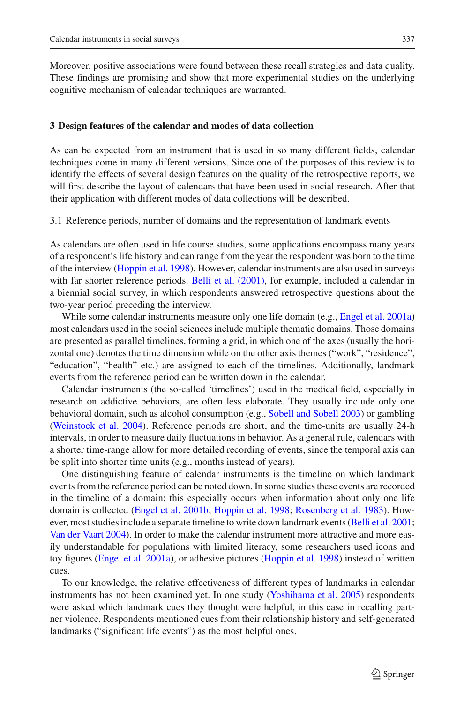Moreover, positive associations were found between these recall strategies and data quality. These findings are promising and show that more experimental studies on the underlying cognitive mechanism of calendar techniques are warranted.

### **3 Design features of the calendar and modes of data collection**

As can be expected from an instrument that is used in so many different fields, calendar techniques come in many different versions. Since one of the purposes of this review is to identify the effects of several design features on the quality of the retrospective reports, we will first describe the layout of calendars that have been used in social research. After that their application with different modes of data collections will be described.

3.1 Reference periods, number of domains and the representation of landmark events

As calendars are often used in life course studies, some applications encompass many years of a respondent's life history and can range from the year the respondent was born to the time of the interview [\(Hoppin et al. 1998\)](#page-15-6). However, calendar instruments are also used in surveys with far shorter reference periods. [Belli et al. \(2001\),](#page-15-2) for example, included a calendar in a biennial social survey, in which respondents answered retrospective questions about the two-year period preceding the interview.

While some calendar instruments measure only one life domain (e.g., [Engel et al. 2001a\)](#page-15-18) most calendars used in the social sciences include multiple thematic domains. Those domains are presented as parallel timelines, forming a grid, in which one of the axes (usually the horizontal one) denotes the time dimension while on the other axis themes ("work", "residence", "education", "health" etc.) are assigned to each of the timelines. Additionally, landmark events from the reference period can be written down in the calendar.

Calendar instruments (the so-called 'timelines') used in the medical field, especially in research on addictive behaviors, are often less elaborate. They usually include only one behavioral domain, such as alcohol consumption (e.g., [Sobell and Sobell 2003\)](#page-16-12) or gambling [\(Weinstock et al. 2004\)](#page-16-13). Reference periods are short, and the time-units are usually 24-h intervals, in order to measure daily fluctuations in behavior. As a general rule, calendars with a shorter time-range allow for more detailed recording of events, since the temporal axis can be split into shorter time units (e.g., months instead of years).

One distinguishing feature of calendar instruments is the timeline on which landmark events from the reference period can be noted down. In some studies these events are recorded in the timeline of a domain; this especially occurs when information about only one life domain is collected [\(Engel et al. 2001b;](#page-15-4) [Hoppin et al. 1998;](#page-15-6) [Rosenberg et al. 1983\)](#page-15-14). However, most studies include a separate timeline to write down landmark events [\(Belli et al. 2001;](#page-15-2) [Van der Vaart 2004\)](#page-16-5). In order to make the calendar instrument more attractive and more easily understandable for populations with limited literacy, some researchers used icons and toy figures [\(Engel et al. 2001a\)](#page-15-18), or adhesive pictures [\(Hoppin et al. 1998\)](#page-15-6) instead of written cues.

To our knowledge, the relative effectiveness of different types of landmarks in calendar instruments has not been examined yet. In one study [\(Yoshihama et al. 2005\)](#page-16-10) respondents were asked which landmark cues they thought were helpful, in this case in recalling partner violence. Respondents mentioned cues from their relationship history and self-generated landmarks ("significant life events") as the most helpful ones.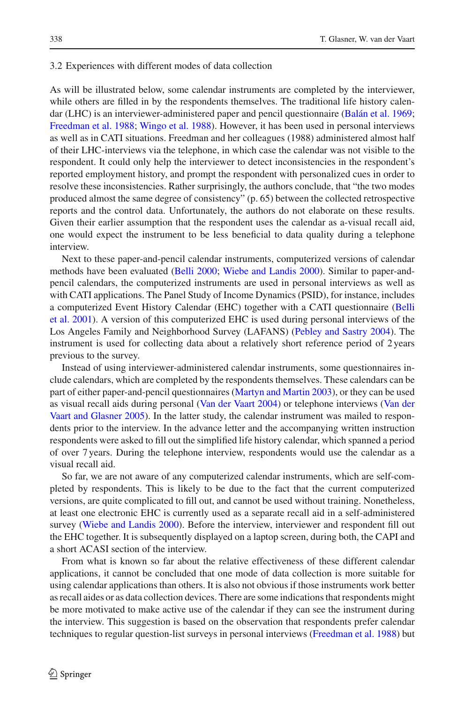### 3.2 Experiences with different modes of data collection

As will be illustrated below, some calendar instruments are completed by the interviewer, while others are filled in by the respondents themselves. The traditional life history calendar (LHC) is an interviewer-administered paper and pencil questionnaire [\(Balán et al. 1969;](#page-15-7) [Freedman et al. 1988;](#page-15-0) [Wingo et al. 1988\)](#page-16-8). However, it has been used in personal interviews as well as in CATI situations. Freedman and her colleagues (1988) administered almost half of their LHC-interviews via the telephone, in which case the calendar was not visible to the respondent. It could only help the interviewer to detect inconsistencies in the respondent's reported employment history, and prompt the respondent with personalized cues in order to resolve these inconsistencies. Rather surprisingly, the authors conclude, that "the two modes produced almost the same degree of consistency" (p. 65) between the collected retrospective reports and the control data. Unfortunately, the authors do not elaborate on these results. Given their earlier assumption that the respondent uses the calendar as a-visual recall aid, one would expect the instrument to be less beneficial to data quality during a telephone interview.

Next to these paper-and-pencil calendar instruments, computerized versions of calendar methods have been evaluated [\(Belli 2000;](#page-15-19) [Wiebe and Landis 2000\)](#page-16-9). Similar to paper-andpencil calendars, the computerized instruments are used in personal interviews as well as with CATI applications. The Panel Study of Income Dynamics (PSID), for instance, includes a compute[rized](#page-15-2) [Event](#page-15-2) [History](#page-15-2) [Calendar](#page-15-2) [\(EHC\)](#page-15-2) [together](#page-15-2) [with](#page-15-2) [a](#page-15-2) [CATI](#page-15-2) [questionnaire](#page-15-2) [\(](#page-15-2)Belli et al. 2001). A version of this computerized EHC is used during personal interviews of the Los Angeles Family and Neighborhood Survey (LAFANS) [\(Pebley and Sastry 2004\)](#page-15-20). The instrument is used for collecting data about a relatively short reference period of 2 years previous to the survey.

Instead of using interviewer-administered calendar instruments, some questionnaires include calendars, which are completed by the respondents themselves. These calendars can be part of either paper-and-pencil questionnaires [\(Martyn and Martin 2003\)](#page-15-15), or they can be used as visual recall aids dur[ing](#page-16-14) [personal](#page-16-14) [\(Van der Vaart 2004\)](#page-16-5) [or](#page-16-14) [telephone](#page-16-14) [interviews](#page-16-14) [\(](#page-16-14)Van der Vaart and Glasner 2005). In the latter study, the calendar instrument was mailed to respondents prior to the interview. In the advance letter and the accompanying written instruction respondents were asked to fill out the simplified life history calendar, which spanned a period of over 7 years. During the telephone interview, respondents would use the calendar as a visual recall aid.

So far, we are not aware of any computerized calendar instruments, which are self-completed by respondents. This is likely to be due to the fact that the current computerized versions, are quite complicated to fill out, and cannot be used without training. Nonetheless, at least one electronic EHC is currently used as a separate recall aid in a self-administered survey [\(Wiebe and Landis 2000\)](#page-16-9). Before the interview, interviewer and respondent fill out the EHC together. It is subsequently displayed on a laptop screen, during both, the CAPI and a short ACASI section of the interview.

From what is known so far about the relative effectiveness of these different calendar applications, it cannot be concluded that one mode of data collection is more suitable for using calendar applications than others. It is also not obvious if those instruments work better as recall aides or as data collection devices. There are some indications that respondents might be more motivated to make active use of the calendar if they can see the instrument during the interview. This suggestion is based on the observation that respondents prefer calendar techniques to regular question-list surveys in personal interviews [\(Freedman et al. 1988\)](#page-15-0) but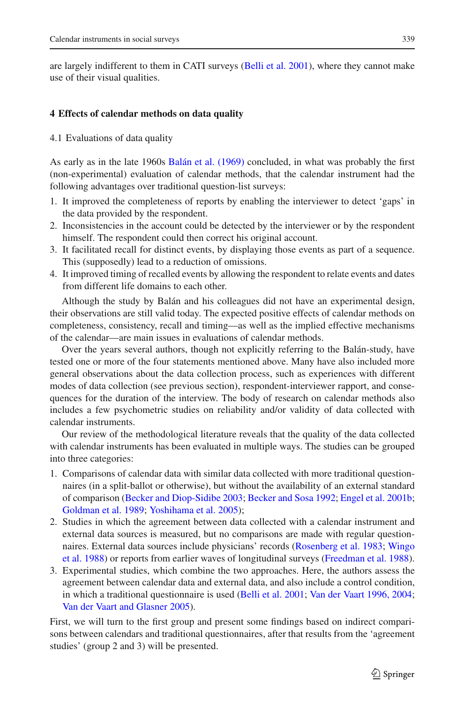are largely indifferent to them in CATI surveys [\(Belli et al. 2001\)](#page-15-2), where they cannot make use of their visual qualities.

# **4 Effects of calendar methods on data quality**

# 4.1 Evaluations of data quality

As early as in the late 1960s [Balán et al. \(1969\)](#page-15-7) concluded, in what was probably the first (non-experimental) evaluation of calendar methods, that the calendar instrument had the following advantages over traditional question-list surveys:

- 1. It improved the completeness of reports by enabling the interviewer to detect 'gaps' in the data provided by the respondent.
- 2. Inconsistencies in the account could be detected by the interviewer or by the respondent himself. The respondent could then correct his original account.
- 3. It facilitated recall for distinct events, by displaying those events as part of a sequence. This (supposedly) lead to a reduction of omissions.
- 4. It improved timing of recalled events by allowing the respondent to relate events and dates from different life domains to each other.

Although the study by Balán and his colleagues did not have an experimental design, their observations are still valid today. The expected positive effects of calendar methods on completeness, consistency, recall and timing—as well as the implied effective mechanisms of the calendar—are main issues in evaluations of calendar methods.

Over the years several authors, though not explicitly referring to the Balán-study, have tested one or more of the four statements mentioned above. Many have also included more general observations about the data collection process, such as experiences with different modes of data collection (see previous section), respondent-interviewer rapport, and consequences for the duration of the interview. The body of research on calendar methods also includes a few psychometric studies on reliability and/or validity of data collected with calendar instruments.

Our review of the methodological literature reveals that the quality of the data collected with calendar instruments has been evaluated in multiple ways. The studies can be grouped into three categories:

- 1. Comparisons of calendar data with similar data collected with more traditional questionnaires (in a split-ballot or otherwise), but without the availability of an external standard of comparison [\(Becker and Diop-Sidibe 2003;](#page-15-12) [Becker and Sosa 1992;](#page-15-8) [Engel et al. 2001b;](#page-15-4) [Goldman et al. 1989;](#page-15-13) [Yoshihama et al. 2005\)](#page-16-10);
- 2. Studies in which the agreement between data collected with a calendar instrument and external data sources is measured, but no comparisons are made with regular questionnaires. External data sources include physicians' records [\(Rosenberg et al. 1983;](#page-15-14) Wingo et al. 1988[\)](#page-16-8) [or](#page-16-8) [reports](#page-16-8) [from](#page-16-8) [earlier](#page-16-8) [waves](#page-16-8) [of](#page-16-8) [longitudinal](#page-16-8) [surveys](#page-16-8) [\(Freedman et al. 1988\)](#page-15-0).
- 3. Experimental studies, which combine the two approaches. Here, the authors assess the agreement between calendar data and external data, and also include a control condition, in which a traditional questionnaire is used [\(Belli et al. 2001;](#page-15-2) Van der Vaart 1996, 2004; [Van der Vaart and Glasner 2005\)](#page-16-14).

First, we will turn to the first group and present some findings based on indirect comparisons between calendars and traditional questionnaires, after that results from the 'agreement studies' (group 2 and 3) will be presented.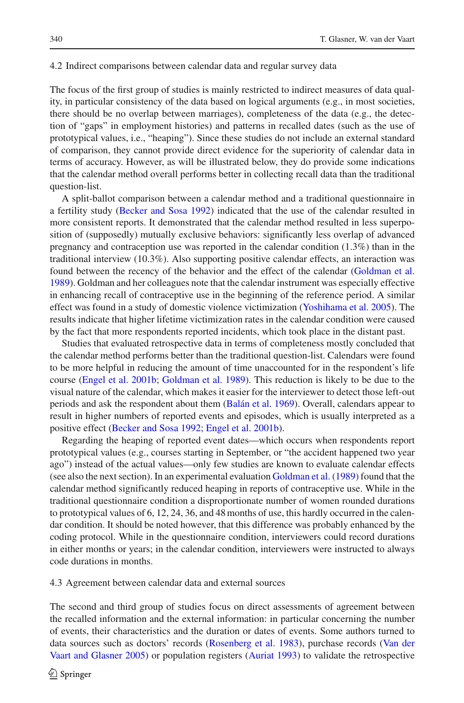### 4.2 Indirect comparisons between calendar data and regular survey data

The focus of the first group of studies is mainly restricted to indirect measures of data quality, in particular consistency of the data based on logical arguments (e.g., in most societies, there should be no overlap between marriages), completeness of the data (e.g., the detection of "gaps" in employment histories) and patterns in recalled dates (such as the use of prototypical values, i.e., "heaping"). Since these studies do not include an external standard of comparison, they cannot provide direct evidence for the superiority of calendar data in terms of accuracy. However, as will be illustrated below, they do provide some indications that the calendar method overall performs better in collecting recall data than the traditional question-list.

A split-ballot comparison between a calendar method and a traditional questionnaire in a fertility study [\(Becker and Sosa 1992\)](#page-15-8) indicated that the use of the calendar resulted in more consistent reports. It demonstrated that the calendar method resulted in less superposition of (supposedly) mutually exclusive behaviors: significantly less overlap of advanced pregnancy and contraception use was reported in the calendar condition (1.3%) than in the traditional interview (10.3%). Also supporting positive calendar effects, an interaction was foun[d](#page-15-13) [between](#page-15-13) [the](#page-15-13) [recency](#page-15-13) [of](#page-15-13) [the](#page-15-13) [behavior](#page-15-13) [and](#page-15-13) [the](#page-15-13) [effect](#page-15-13) [of](#page-15-13) [the](#page-15-13) [calendar](#page-15-13) [\(](#page-15-13)Goldman et al. 1989). Goldman and her colleagues note that the calendar instrument was especially effective in enhancing recall of contraceptive use in the beginning of the reference period. A similar effect was found in a study of domestic violence victimization [\(Yoshihama et al. 2005\)](#page-16-10). The results indicate that higher lifetime victimization rates in the calendar condition were caused by the fact that more respondents reported incidents, which took place in the distant past.

Studies that evaluated retrospective data in terms of completeness mostly concluded that the calendar method performs better than the traditional question-list. Calendars were found to be more helpful in reducing the amount of time unaccounted for in the respondent's life course [\(Engel et al. 2001b;](#page-15-4) [Goldman et al. 1989\)](#page-15-13). This reduction is likely to be due to the visual nature of the calendar, which makes it easier for the interviewer to detect those left-out periods and ask the respondent about them [\(Balán et al. 1969\)](#page-15-7). Overall, calendars appear to result in higher numbers of reported events and episodes, which is usually interpreted as a positive effect [\(Becker and Sosa 1992;](#page-15-8) [Engel et al. 2001b\)](#page-15-4).

Regarding the heaping of reported event dates—which occurs when respondents report prototypical values (e.g., courses starting in September, or "the accident happened two year ago") instead of the actual values—only few studies are known to evaluate calendar effects (see also the next section). In an experimental evaluation [Goldman et al. \(1989\)](#page-15-13) found that the calendar method significantly reduced heaping in reports of contraceptive use. While in the traditional questionnaire condition a disproportionate number of women rounded durations to prototypical values of 6, 12, 24, 36, and 48months of use, this hardly occurred in the calendar condition. It should be noted however, that this difference was probably enhanced by the coding protocol. While in the questionnaire condition, interviewers could record durations in either months or years; in the calendar condition, interviewers were instructed to always code durations in months.

4.3 Agreement between calendar data and external sources

The second and third group of studies focus on direct assessments of agreement between the recalled information and the external information: in particular concerning the number of events, their characteristics and the duration or dates of events. Some authors turned to data sources such as d[octors'](#page-16-14) [records](#page-16-14) [\(Rosenberg et al. 1983\)](#page-15-14)[,](#page-16-14) [purchase](#page-16-14) [records](#page-16-14) [\(](#page-16-14)Van der Vaart and Glasner 2005) or population registers [\(Auriat 1993\)](#page-14-1) to validate the retrospective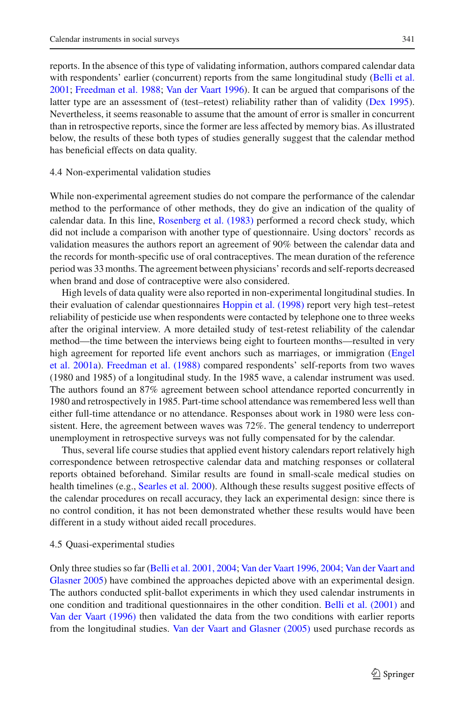reports. In the absence of this type of validating information, authors compared calendar data with [respondents'](#page-15-2) [earlier](#page-15-2) [\(concurrent\)](#page-15-2) [reports](#page-15-2) [from](#page-15-2) [the](#page-15-2) [same](#page-15-2) [longitudinal](#page-15-2) [study](#page-15-2) [\(](#page-15-2)Belli et al. 2001; [Freedman et al. 1988;](#page-15-0) [Van der Vaart 1996\)](#page-16-2). It can be argued that comparisons of the latter type are an assessment of (test–retest) reliability rather than of validity [\(Dex 1995\)](#page-15-21). Nevertheless, it seems reasonable to assume that the amount of error is smaller in concurrent than in retrospective reports, since the former are less affected by memory bias. As illustrated below, the results of these both types of studies generally suggest that the calendar method has beneficial effects on data quality.

#### 4.4 Non-experimental validation studies

While non-experimental agreement studies do not compare the performance of the calendar method to the performance of other methods, they do give an indication of the quality of calendar data. In this line, [Rosenberg et al. \(1983\)](#page-15-14) performed a record check study, which did not include a comparison with another type of questionnaire. Using doctors' records as validation measures the authors report an agreement of 90% between the calendar data and the records for month-specific use of oral contraceptives. The mean duration of the reference period was 33months. The agreement between physicians' records and self-reports decreased when brand and dose of contraceptive were also considered.

High levels of data quality were also reported in non-experimental longitudinal studies. In their evaluation of calendar questionnaires [Hoppin et al. \(1998\)](#page-15-6) report very high test-retest reliability of pesticide use when respondents were contacted by telephone one to three weeks after the original interview. A more detailed study of test-retest reliability of the calendar method—the time between the interviews being eight to fourteen months—resulted in very high agreement for reported life event anchors such as marriages, or immigration (Engel et al. 2001a). [Freedman et al. \(1988\)](#page-15-0) [compared](#page-15-18) [respondents'](#page-15-18) [self-reports](#page-15-18) [from](#page-15-18) [two](#page-15-18) [w](#page-15-18)aves (1980 and 1985) of a longitudinal study. In the 1985 wave, a calendar instrument was used. The authors found an 87% agreement between school attendance reported concurrently in 1980 and retrospectively in 1985. Part-time school attendance was remembered less well than either full-time attendance or no attendance. Responses about work in 1980 were less consistent. Here, the agreement between waves was 72%. The general tendency to underreport unemployment in retrospective surveys was not fully compensated for by the calendar.

Thus, several life course studies that applied event history calendars report relatively high correspondence between retrospective calendar data and matching responses or collateral reports obtained beforehand. Similar results are found in small-scale medical studies on health timelines (e.g., [Searles et al. 2000\)](#page-16-15). Although these results suggest positive effects of the calendar procedures on recall accuracy, they lack an experimental design: since there is no control condition, it has not been demonstrated whether these results would have been different in a study without aided recall procedures.

### 4.5 Quasi-experimental studies

Only three studies so far (Belli et al. 2001, 2004; Van der Vaart 1996, 2004; Van der Vaart and Glasner 2005) have combined the approaches depicted above with an experimental design. The authors conducted split-ballot experiments in which they used calendar instruments in one condition and traditional questionnaires in the other condition. [Belli et al. \(2001\)](#page-15-2) and [Van der Vaart \(1996\)](#page-16-2) then validated the data from the two conditions with earlier reports from the longitudinal studies. [Van der Vaart and Glasner \(2005\)](#page-16-14) used purchase records as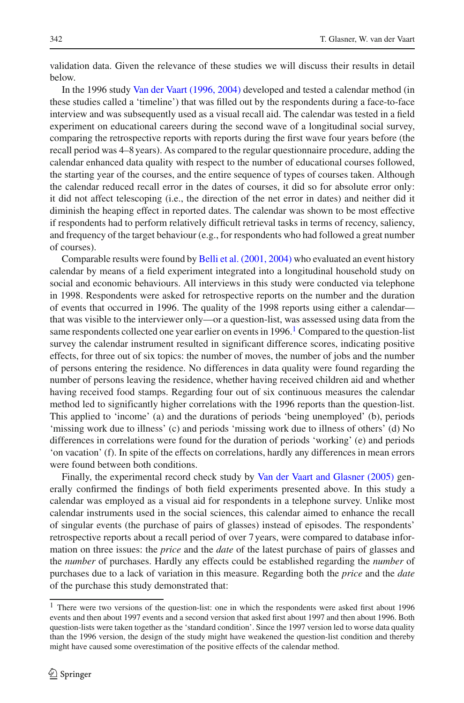validation data. Given the relevance of these studies we will discuss their results in detail below.

In the 1996 study Van der Vaart (1996, 2004) developed and tested a calendar method (in these studies called a 'timeline') that was filled out by the respondents during a face-to-face interview and was subsequently used as a visual recall aid. The calendar was tested in a field experiment on educational careers during the second wave of a longitudinal social survey, comparing the retrospective reports with reports during the first wave four years before (the recall period was 4–8 years). As compared to the regular questionnaire procedure, adding the calendar enhanced data quality with respect to the number of educational courses followed, the starting year of the courses, and the entire sequence of types of courses taken. Although the calendar reduced recall error in the dates of courses, it did so for absolute error only: it did not affect telescoping (i.e., the direction of the net error in dates) and neither did it diminish the heaping effect in reported dates. The calendar was shown to be most effective if respondents had to perform relatively difficult retrieval tasks in terms of recency, saliency, and frequency of the target behaviour (e.g., for respondents who had followed a great number of courses).

Comparable results were found by Belli et al. (2001, 2004) who evaluated an event history calendar by means of a field experiment integrated into a longitudinal household study on social and economic behaviours. All interviews in this study were conducted via telephone in 1998. Respondents were asked for retrospective reports on the number and the duration of events that occurred in 1996. The quality of the 1998 reports using either a calendar that was visible to the interviewer only—or a question-list, was assessed using data from the same respondents collected one year earlier on events in  $1996<sup>1</sup>$  $1996<sup>1</sup>$  Compared to the question-list survey the calendar instrument resulted in significant difference scores, indicating positive effects, for three out of six topics: the number of moves, the number of jobs and the number of persons entering the residence. No differences in data quality were found regarding the number of persons leaving the residence, whether having received children aid and whether having received food stamps. Regarding four out of six continuous measures the calendar method led to significantly higher correlations with the 1996 reports than the question-list. This applied to 'income' (a) and the durations of periods 'being unemployed' (b), periods 'missing work due to illness' (c) and periods 'missing work due to illness of others' (d) No differences in correlations were found for the duration of periods 'working' (e) and periods 'on vacation' (f). In spite of the effects on correlations, hardly any differences in mean errors were found between both conditions.

Finally, the experimental record check study by [Van der Vaart and Glasner \(2005\)](#page-16-14) generally confirmed the findings of both field experiments presented above. In this study a calendar was employed as a visual aid for respondents in a telephone survey. Unlike most calendar instruments used in the social sciences, this calendar aimed to enhance the recall of singular events (the purchase of pairs of glasses) instead of episodes. The respondents' retrospective reports about a recall period of over 7 years, were compared to database information on three issues: the *price* and the *date* of the latest purchase of pairs of glasses and the *number* of purchases. Hardly any effects could be established regarding the *number* of purchases due to a lack of variation in this measure. Regarding both the *price* and the *date* of the purchase this study demonstrated that:

<span id="page-9-0"></span><sup>&</sup>lt;sup>1</sup> There were two versions of the question-list: one in which the respondents were asked first about 1996 events and then about 1997 events and a second version that asked first about 1997 and then about 1996. Both question-lists were taken together as the 'standard condition'. Since the 1997 version led to worse data quality than the 1996 version, the design of the study might have weakened the question-list condition and thereby might have caused some overestimation of the positive effects of the calendar method.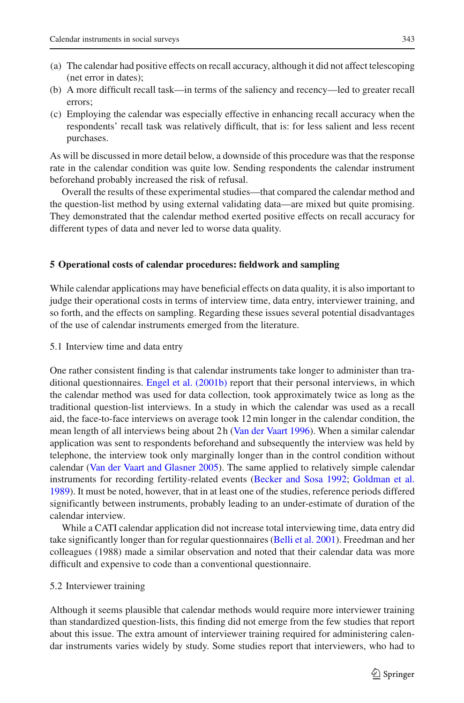- (a) The calendar had positive effects on recall accuracy, although it did not affect telescoping (net error in dates);
- (b) A more difficult recall task—in terms of the saliency and recency—led to greater recall errors;
- (c) Employing the calendar was especially effective in enhancing recall accuracy when the respondents' recall task was relatively difficult, that is: for less salient and less recent purchases.

As will be discussed in more detail below, a downside of this procedure was that the response rate in the calendar condition was quite low. Sending respondents the calendar instrument beforehand probably increased the risk of refusal.

Overall the results of these experimental studies—that compared the calendar method and the question-list method by using external validating data—are mixed but quite promising. They demonstrated that the calendar method exerted positive effects on recall accuracy for different types of data and never led to worse data quality.

# **5 Operational costs of calendar procedures: fieldwork and sampling**

While calendar applications may have beneficial effects on data quality, it is also important to judge their operational costs in terms of interview time, data entry, interviewer training, and so forth, and the effects on sampling. Regarding these issues several potential disadvantages of the use of calendar instruments emerged from the literature.

5.1 Interview time and data entry

One rather consistent finding is that calendar instruments take longer to administer than tra-ditional questionnaires. [Engel et al. \(2001b\)](#page-15-4) report that their personal interviews, in which the calendar method was used for data collection, took approximately twice as long as the traditional question-list interviews. In a study in which the calendar was used as a recall aid, the face-to-face interviews on average took 12min longer in the calendar condition, the mean length of all interviews being about 2 h [\(Van der Vaart 1996\)](#page-16-2). When a similar calendar application was sent to respondents beforehand and subsequently the interview was held by telephone, the interview took only marginally longer than in the control condition without calendar [\(Van der Vaart and Glasner 2005\)](#page-16-14). The same applied to relatively simple calendar instr[uments](#page-15-13) [for](#page-15-13) [recording](#page-15-13) [fertility-related](#page-15-13) [events](#page-15-13) [\(Becker and Sosa 1992;](#page-15-8) Goldman et al. 1989). It must be noted, however, that in at least one of the studies, reference periods differed significantly between instruments, probably leading to an under-estimate of duration of the calendar interview.

While a CATI calendar application did not increase total interviewing time, data entry did take significantly longer than for regular questionnaires [\(Belli et al. 2001\)](#page-15-2). Freedman and her colleagues (1988) made a similar observation and noted that their calendar data was more difficult and expensive to code than a conventional questionnaire.

# 5.2 Interviewer training

Although it seems plausible that calendar methods would require more interviewer training than standardized question-lists, this finding did not emerge from the few studies that report about this issue. The extra amount of interviewer training required for administering calendar instruments varies widely by study. Some studies report that interviewers, who had to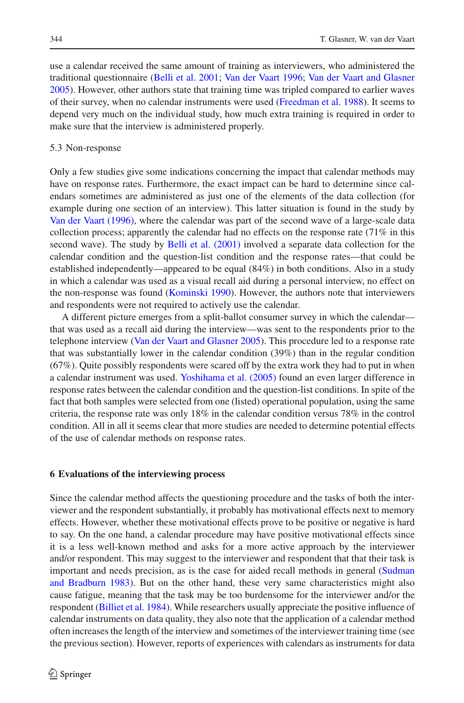use a calendar received the same amount of training as interviewers, who administered the tradi[tional](#page-16-14) [questionnaire](#page-16-14) [\(Belli et al. 2001;](#page-15-2) [Van der Vaart 1996;](#page-16-2) Van der Vaart and Glasner 2005). However, other authors state that training time was tripled compared to earlier waves of their survey, when no calendar instruments were used [\(Freedman et al. 1988\)](#page-15-0). It seems to depend very much on the individual study, how much extra training is required in order to make sure that the interview is administered properly.

# 5.3 Non-response

Only a few studies give some indications concerning the impact that calendar methods may have on response rates. Furthermore, the exact impact can be hard to determine since calendars sometimes are administered as just one of the elements of the data collection (for example during one section of an interview). This latter situation is found in the study by [Van der Vaart \(1996\),](#page-16-2) where the calendar was part of the second wave of a large-scale data collection process; apparently the calendar had no effects on the response rate (71% in this second wave). The study by [Belli et al. \(2001\)](#page-15-2) involved a separate data collection for the calendar condition and the question-list condition and the response rates—that could be established independently—appeared to be equal (84%) in both conditions. Also in a study in which a calendar was used as a visual recall aid during a personal interview, no effect on the non-response was found [\(Kominski 1990\)](#page-15-22). However, the authors note that interviewers and respondents were not required to actively use the calendar.

A different picture emerges from a split-ballot consumer survey in which the calendar that was used as a recall aid during the interview—was sent to the respondents prior to the telephone interview [\(Van der Vaart and Glasner 2005\)](#page-16-14). This procedure led to a response rate that was substantially lower in the calendar condition (39%) than in the regular condition (67%). Quite possibly respondents were scared off by the extra work they had to put in when a calendar instrument was used. [Yoshihama et al. \(2005\)](#page-16-10) found an even larger difference in response rates between the calendar condition and the question-list conditions. In spite of the fact that both samples were selected from one (listed) operational population, using the same criteria, the response rate was only 18% in the calendar condition versus 78% in the control condition. All in all it seems clear that more studies are needed to determine potential effects of the use of calendar methods on response rates.

## **6 Evaluations of the interviewing process**

Since the calendar method affects the questioning procedure and the tasks of both the interviewer and the respondent substantially, it probably has motivational effects next to memory effects. However, whether these motivational effects prove to be positive or negative is hard to say. On the one hand, a calendar procedure may have positive motivational effects since it is a less well-known method and asks for a more active approach by the interviewer and/or respondent. This may suggest to the interviewer and respondent that that their task is important and need[s](#page-16-16) [precision,](#page-16-16) [as](#page-16-16) [is](#page-16-16) [the](#page-16-16) [case](#page-16-16) [for](#page-16-16) [aided](#page-16-16) [recall](#page-16-16) [methods](#page-16-16) [in](#page-16-16) [general](#page-16-16) [\(](#page-16-16)Sudman and Bradburn 1983). But on the other hand, these very same characteristics might also cause fatigue, meaning that the task may be too burdensome for the interviewer and/or the respondent [\(Billiet et al. 1984\)](#page-15-23). While researchers usually appreciate the positive influence of calendar instruments on data quality, they also note that the application of a calendar method often increases the length of the interview and sometimes of the interviewer training time (see the previous section). However, reports of experiences with calendars as instruments for data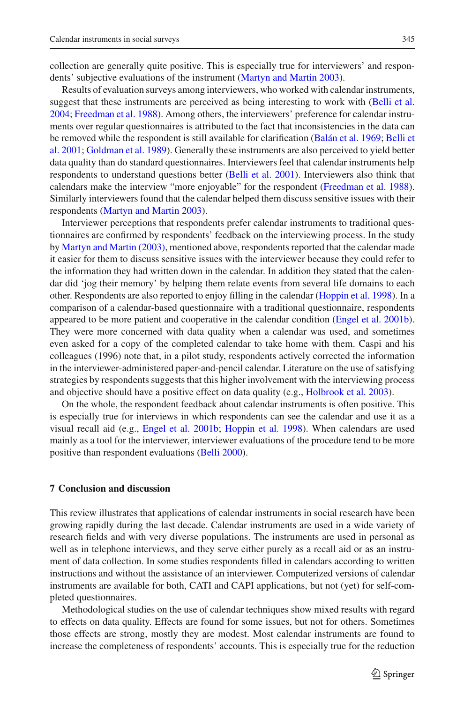collection are generally quite positive. This is especially true for interviewers' and respondents' subjective evaluations of the instrument [\(Martyn and Martin 2003\)](#page-15-15).

Results of evaluation surveys among interviewers, who worked with calendar instruments, sugg[est](#page-15-17) [that](#page-15-17) [these](#page-15-17) [instruments](#page-15-17) [are](#page-15-17) [perceived](#page-15-17) [as](#page-15-17) [being](#page-15-17) [interesting](#page-15-17) [to](#page-15-17) [work](#page-15-17) [with](#page-15-17) [\(](#page-15-17)Belli et al. 2004; [Freedman et al. 1988\)](#page-15-0). Among others, the interviewers' preference for calendar instruments over regular questionnaires is attributed to the fact that inconsistencies in the data can be remo[ved](#page-15-2) [while](#page-15-2) [the](#page-15-2) [respondent](#page-15-2) [is](#page-15-2) [still](#page-15-2) [available](#page-15-2) [for](#page-15-2) [clarification](#page-15-2) [\(Balán et al. 1969;](#page-15-7) Belli et al. 2001; [Goldman et al. 1989\)](#page-15-13). Generally these instruments are also perceived to yield better data quality than do standard questionnaires. Interviewers feel that calendar instruments help respondents to understand questions better [\(Belli et al. 2001\)](#page-15-2). Interviewers also think that calendars make the interview "more enjoyable" for the respondent [\(Freedman et al. 1988\)](#page-15-0). Similarly interviewers found that the calendar helped them discuss sensitive issues with their respondents [\(Martyn and Martin 2003\)](#page-15-15).

Interviewer perceptions that respondents prefer calendar instruments to traditional questionnaires are confirmed by respondents' feedback on the interviewing process. In the study by [Martyn and Martin \(2003\),](#page-15-15) mentioned above, respondents reported that the calendar made it easier for them to discuss sensitive issues with the interviewer because they could refer to the information they had written down in the calendar. In addition they stated that the calendar did 'jog their memory' by helping them relate events from several life domains to each other. Respondents are also reported to enjoy filling in the calendar [\(Hoppin et al. 1998\)](#page-15-6). In a comparison of a calendar-based questionnaire with a traditional questionnaire, respondents appeared to be more patient and cooperative in the calendar condition [\(Engel et al. 2001b\)](#page-15-4). They were more concerned with data quality when a calendar was used, and sometimes even asked for a copy of the completed calendar to take home with them. Caspi and his colleagues (1996) note that, in a pilot study, respondents actively corrected the information in the interviewer-administered paper-and-pencil calendar. Literature on the use of satisfying strategies by respondents suggests that this higher involvement with the interviewing process and objective should have a positive effect on data quality (e.g., [Holbrook et al. 2003\)](#page-15-24).

On the whole, the respondent feedback about calendar instruments is often positive. This is especially true for interviews in which respondents can see the calendar and use it as a visual recall aid (e.g., [Engel et al. 2001b;](#page-15-4) [Hoppin et al. 1998\)](#page-15-6). When calendars are used mainly as a tool for the interviewer, interviewer evaluations of the procedure tend to be more positive than respondent evaluations [\(Belli 2000\)](#page-15-19).

# **7 Conclusion and discussion**

This review illustrates that applications of calendar instruments in social research have been growing rapidly during the last decade. Calendar instruments are used in a wide variety of research fields and with very diverse populations. The instruments are used in personal as well as in telephone interviews, and they serve either purely as a recall aid or as an instrument of data collection. In some studies respondents filled in calendars according to written instructions and without the assistance of an interviewer. Computerized versions of calendar instruments are available for both, CATI and CAPI applications, but not (yet) for self-completed questionnaires.

Methodological studies on the use of calendar techniques show mixed results with regard to effects on data quality. Effects are found for some issues, but not for others. Sometimes those effects are strong, mostly they are modest. Most calendar instruments are found to increase the completeness of respondents' accounts. This is especially true for the reduction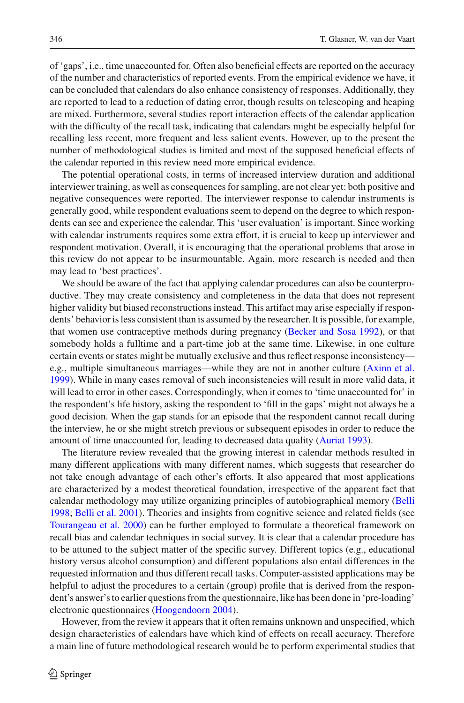of 'gaps', i.e., time unaccounted for. Often also beneficial effects are reported on the accuracy of the number and characteristics of reported events. From the empirical evidence we have, it can be concluded that calendars do also enhance consistency of responses. Additionally, they are reported to lead to a reduction of dating error, though results on telescoping and heaping are mixed. Furthermore, several studies report interaction effects of the calendar application with the difficulty of the recall task, indicating that calendars might be especially helpful for recalling less recent, more frequent and less salient events. However, up to the present the number of methodological studies is limited and most of the supposed beneficial effects of the calendar reported in this review need more empirical evidence.

The potential operational costs, in terms of increased interview duration and additional interviewer training, as well as consequences for sampling, are not clear yet: both positive and negative consequences were reported. The interviewer response to calendar instruments is generally good, while respondent evaluations seem to depend on the degree to which respondents can see and experience the calendar. This 'user evaluation' is important. Since working with calendar instruments requires some extra effort, it is crucial to keep up interviewer and respondent motivation. Overall, it is encouraging that the operational problems that arose in this review do not appear to be insurmountable. Again, more research is needed and then may lead to 'best practices'.

We should be aware of the fact that applying calendar procedures can also be counterproductive. They may create consistency and completeness in the data that does not represent higher validity but biased reconstructions instead. This artifact may arise especially if respondents' behavior is less consistent than is assumed by the researcher. It is possible, for example, that women use contraceptive methods during pregnancy [\(Becker and Sosa 1992\)](#page-15-8), or that somebody holds a fulltime and a part-time job at the same time. Likewise, in one culture certain events or states might be mutually exclusive and thus reflect response inconsistency e.g., [multiple](#page-14-0) [simultaneous](#page-14-0) [marriages—while](#page-14-0) [they](#page-14-0) [are](#page-14-0) [not](#page-14-0) [in](#page-14-0) [another](#page-14-0) [culture](#page-14-0) [\(](#page-14-0)Axinn et al. 1999). While in many cases removal of such inconsistencies will result in more valid data, it will lead to error in other cases. Correspondingly, when it comes to 'time unaccounted for' in the respondent's life history, asking the respondent to 'fill in the gaps' might not always be a good decision. When the gap stands for an episode that the respondent cannot recall during the interview, he or she might stretch previous or subsequent episodes in order to reduce the amount of time unaccounted for, leading to decreased data quality [\(Auriat 1993\)](#page-14-1).

The literature review revealed that the growing interest in calendar methods resulted in many different applications with many different names, which suggests that researcher do not take enough advantage of each other's efforts. It also appeared that most applications are characterized by a modest theoretical foundation, irrespective of the apparent fact that cale[ndar](#page-15-5) [methodology](#page-15-5) [may](#page-15-5) [utilize](#page-15-5) [organizing](#page-15-5) [principles](#page-15-5) [of](#page-15-5) [autobiographical](#page-15-5) [memory](#page-15-5) [\(](#page-15-5)Belli 1998; [Belli et al. 2001\)](#page-15-2). Theories and insights from cognitive science and related fields (see [Tourangeau et al. 2000\)](#page-16-11) can be further employed to formulate a theoretical framework on recall bias and calendar techniques in social survey. It is clear that a calendar procedure has to be attuned to the subject matter of the specific survey. Different topics (e.g., educational history versus alcohol consumption) and different populations also entail differences in the requested information and thus different recall tasks. Computer-assisted applications may be helpful to adjust the procedures to a certain (group) profile that is derived from the respondent's answer's to earlier questions from the questionnaire, like has been done in 'pre-loading' electronic questionnaires [\(Hoogendoorn 2004\)](#page-15-25).

However, from the review it appears that it often remains unknown and unspecified, which design characteristics of calendars have which kind of effects on recall accuracy. Therefore a main line of future methodological research would be to perform experimental studies that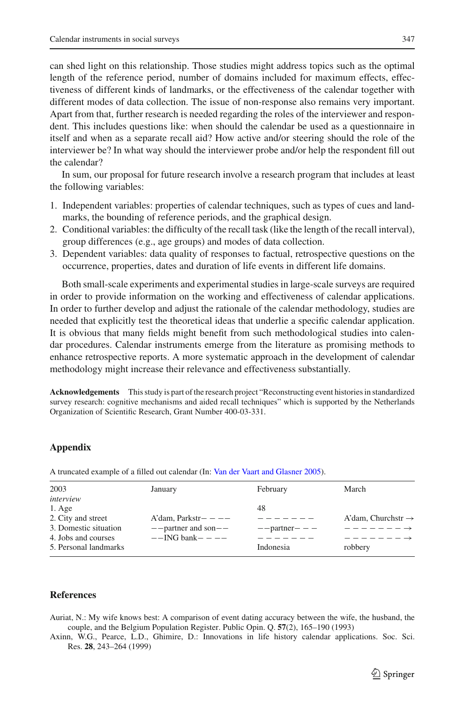can shed light on this relationship. Those studies might address topics such as the optimal length of the reference period, number of domains included for maximum effects, effectiveness of different kinds of landmarks, or the effectiveness of the calendar together with different modes of data collection. The issue of non-response also remains very important. Apart from that, further research is needed regarding the roles of the interviewer and respondent. This includes questions like: when should the calendar be used as a questionnaire in itself and when as a separate recall aid? How active and/or steering should the role of the interviewer be? In what way should the interviewer probe and/or help the respondent fill out the calendar?

In sum, our proposal for future research involve a research program that includes at least the following variables:

- 1. Independent variables: properties of calendar techniques, such as types of cues and landmarks, the bounding of reference periods, and the graphical design.
- 2. Conditional variables: the difficulty of the recall task (like the length of the recall interval), group differences (e.g., age groups) and modes of data collection.
- 3. Dependent variables: data quality of responses to factual, retrospective questions on the occurrence, properties, dates and duration of life events in different life domains.

Both small-scale experiments and experimental studies in large-scale surveys are required in order to provide information on the working and effectiveness of calendar applications. In order to further develop and adjust the rationale of the calendar methodology, studies are needed that explicitly test the theoretical ideas that underlie a specific calendar application. It is obvious that many fields might benefit from such methodological studies into calendar procedures. Calendar instruments emerge from the literature as promising methods to enhance retrospective reports. A more systematic approach in the development of calendar methodology might increase their relevance and effectiveness substantially.

**Acknowledgements** This study is part of the research project "Reconstructing event histories in standardized survey research: cognitive mechanisms and aided recall techniques" which is supported by the Netherlands Organization of Scientific Research, Grant Number 400-03-331.

# **Appendix**

A truncated example of a filled out calendar (In: [Van der Vaart and Glasner 2005\)](#page-0-0).

| 2003                  | January                   | February          | March                          |
|-----------------------|---------------------------|-------------------|--------------------------------|
| interview             |                           |                   |                                |
| $1. \text{Age}$       |                           | 48                |                                |
| 2. City and street    | $A'dam$ , Parkstr - - -   | -------           | A'dam, Churchstr $\rightarrow$ |
| 3. Domestic situation | $--$ partner and son $--$ | $--$ partner $--$ | $- - - - - - - - \rightarrow$  |
| 4. Jobs and courses   | $--$ ING bank $--$        |                   |                                |
| 5. Personal landmarks |                           | Indonesia         | robbery                        |
|                       |                           |                   |                                |

# **References**

<span id="page-14-1"></span>Auriat, N.: My wife knows best: A comparison of event dating accuracy between the wife, the husband, the couple, and the Belgium Population Register. Public Opin. Q. **57**(2), 165–190 (1993)

<span id="page-14-0"></span>Axinn, W.G., Pearce, L.D., Ghimire, D.: Innovations in life history calendar applications. Soc. Sci. Res. **28**, 243–264 (1999)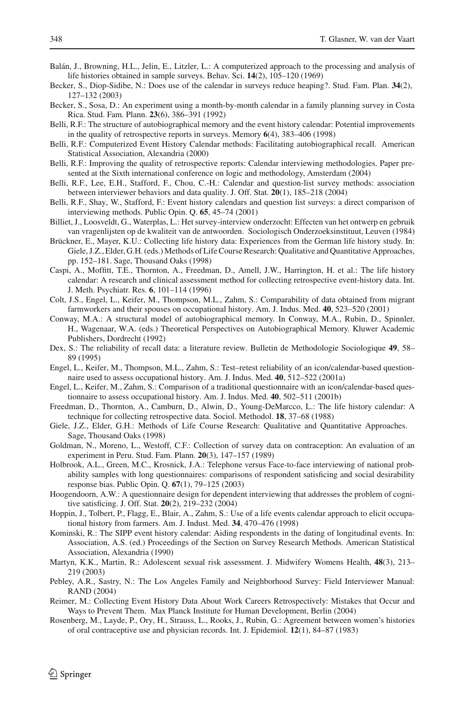- <span id="page-15-7"></span>Balán, J., Browning, H.L., Jelin, E., Litzler, L.: A computerized approach to the processing and analysis of life histories obtained in sample surveys. Behav. Sci. **14**(2), 105–120 (1969)
- <span id="page-15-12"></span>Becker, S., Diop-Sidibe, N.: Does use of the calendar in surveys reduce heaping?. Stud. Fam. Plan. **34**(2), 127–132 (2003)
- <span id="page-15-8"></span>Becker, S., Sosa, D.: An experiment using a month-by-month calendar in a family planning survey in Costa Rica. Stud. Fam. Plann. **23**(6), 386–391 (1992)
- <span id="page-15-5"></span>Belli, R.F.: The structure of autobiographical memory and the event history calendar: Potential improvements in the quality of retrospective reports in surveys. Memory **6**(4), 383–406 (1998)
- <span id="page-15-19"></span>Belli, R.F.: Computerized Event History Calendar methods: Facilitating autobiographical recall. American Statistical Association, Alexandria (2000)
- Belli, R.F.: Improving the quality of retrospective reports: Calendar interviewing methodologies. Paper presented at the Sixth international conference on logic and methodology, Amsterdam (2004)
- <span id="page-15-17"></span>Belli, R.F., Lee, E.H., Stafford, F., Chou, C.-H.: Calendar and question-list survey methods: association between interviewer behaviors and data quality. J. Off. Stat. **20**(1), 185–218 (2004)
- <span id="page-15-2"></span>Belli, R.F., Shay, W., Stafford, F.: Event history calendars and question list surveys: a direct comparison of interviewing methods. Public Opin. Q. **65**, 45–74 (2001)
- <span id="page-15-23"></span>Billiet, J., Loosveldt, G., Waterplas, L.: Het survey-interview onderzocht: Effecten van het ontwerp en gebruik van vragenlijsten op de kwaliteit van de antwoorden. Sociologisch Onderzoeksinstituut, Leuven (1984)
- <span id="page-15-1"></span>Brückner, E., Mayer, K.U.: Collecting life history data: Experiences from the German life history study. In: Giele, J.Z., Elder, G.H. (eds.) Methods of Life Course Research: Qualitative and Quantitative Approaches, pp. 152–181. Sage, Thousand Oaks (1998)
- <span id="page-15-9"></span>Caspi, A., Moffitt, T.E., Thornton, A., Freedman, D., Amell, J.W., Harrington, H. et al.: The life history calendar: A research and clinical assessment method for collecting retrospective event-history data. Int. J. Meth. Psychiatr. Res. **6**, 101–114 (1996)
- <span id="page-15-11"></span>Colt, J.S., Engel, L., Keifer, M., Thompson, M.L., Zahm, S.: Comparability of data obtained from migrant farmworkers and their spouses on occupational history. Am. J. Indus. Med. **40**, 523–520 (2001)
- <span id="page-15-16"></span>Conway, M.A.: A structural model of autobiographical memory. In Conway, M.A., Rubin, D., Spinnler, H., Wagenaar, W.A. (eds.) Theoretical Perspectives on Autobiographical Memory. Kluwer Academic Publishers, Dordrecht (1992)
- <span id="page-15-21"></span>Dex, S.: The reliability of recall data: a literature review. Bulletin de Methodologie Sociologique **49**, 58– 89 (1995)
- <span id="page-15-18"></span>Engel, L., Keifer, M., Thompson, M.L., Zahm, S.: Test–retest reliability of an icon/calendar-based questionnaire used to assess occupational history. Am. J. Indus. Med. **40**, 512–522 (2001a)
- <span id="page-15-4"></span>Engel, L., Keifer, M., Zahm, S.: Comparison of a traditional questionnaire with an icon/calendar-based questionnaire to assess occupational history. Am. J. Indus. Med. **40**, 502–511 (2001b)
- <span id="page-15-0"></span>Freedman, D., Thornton, A., Camburn, D., Alwin, D., Young-DeMarcco, L.: The life history calendar: A technique for collecting retrospective data. Sociol. Methodol. **18**, 37–68 (1988)
- <span id="page-15-3"></span>Giele, J.Z., Elder, G.H.: Methods of Life Course Research: Qualitative and Quantitative Approaches. Sage, Thousand Oaks (1998)
- <span id="page-15-13"></span>Goldman, N., Moreno, L., Westoff, C.F.: Collection of survey data on contraception: An evaluation of an experiment in Peru. Stud. Fam. Plann. **20**(3), 147–157 (1989)
- <span id="page-15-24"></span>Holbrook, A.L., Green, M.C., Krosnick, J.A.: Telephone versus Face-to-face interviewing of national probability samples with long questionnaires: comparisons of respondent satisficing and social desirability response bias. Public Opin. Q. **67**(1), 79–125 (2003)
- <span id="page-15-25"></span>Hoogendoorn, A.W.: A questionnaire design for dependent interviewing that addresses the problem of cognitive satisficing. J. Off. Stat. **20**(2), 219–232 (2004)
- <span id="page-15-6"></span>Hoppin, J., Tolbert, P., Flagg, E., Blair, A., Zahm, S.: Use of a life events calendar approach to elicit occupational history from farmers. Am. J. Indust. Med. **34**, 470–476 (1998)
- <span id="page-15-22"></span>Kominski, R.: The SIPP event history calendar: Aiding respondents in the dating of longitudinal events. In: Association, A.S. (ed.) Proceedings of the Section on Survey Research Methods. American Statistical Association, Alexandria (1990)
- <span id="page-15-15"></span>Martyn, K.K., Martin, R.: Adolescent sexual risk assessment. J. Midwifery Womens Health, **48**(3), 213– 219 (2003)
- <span id="page-15-20"></span>Pebley, A.R., Sastry, N.: The Los Angeles Family and Neighborhood Survey: Field Interviewer Manual: RAND (2004)
- <span id="page-15-10"></span>Reimer, M.: Collecting Event History Data About Work Careers Retrospectively: Mistakes that Occur and Ways to Prevent Them. Max Planck Institute for Human Development, Berlin (2004)
- <span id="page-15-14"></span>Rosenberg, M., Layde, P., Ory, H., Strauss, L., Rooks, J., Rubin, G.: Agreement between women's histories of oral contraceptive use and physician records. Int. J. Epidemiol. **12**(1), 84–87 (1983)